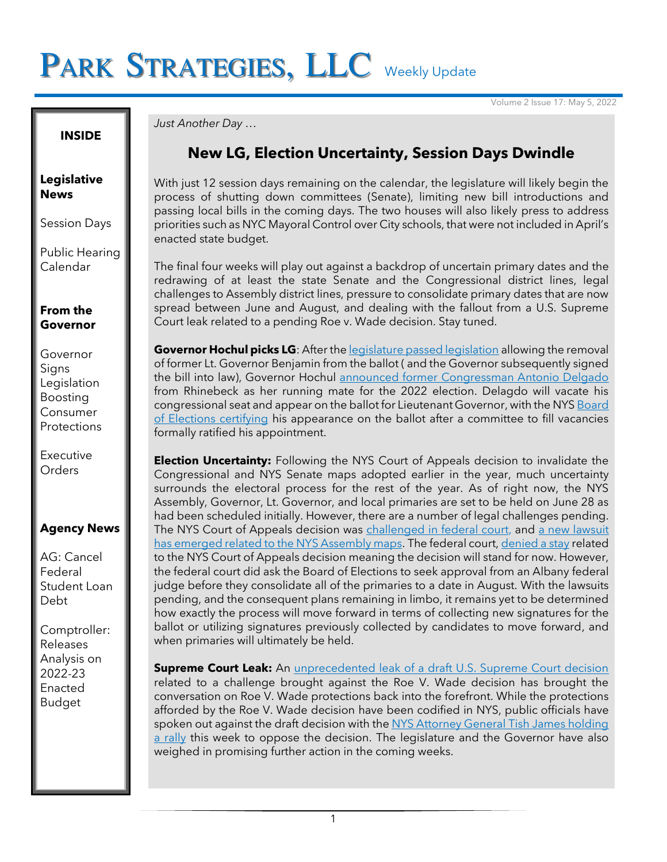# PARK STRATEGIES, LLC Weekly Update

Volume 2 Issue 17: May 5, 2022

**INSIDE**

#### **Legislative News**

Session Days

Public Hearing Calendar

### **From the Governor**

Governor Signs Legislation Boosting Consumer **Protections** 

Executive **Orders** 

## **Agency News**

AG: Cancel Federal Student Loan Debt

Comptroller: Releases Analysis on 2022-23 Enacted Budget

#### *Just Another Day …*

## **New LG, Election Uncertainty, Session Days Dwindle**

With just 12 session days remaining on the calendar, the legislature will likely begin the process of shutting down committees (Senate), limiting new bill introductions and passing local bills in the coming days. The two houses will also likely press to address priorities such as NYC Mayoral Control over City schools, that were not included in April's enacted state budget.

The final four weeks will play out against a backdrop of uncertain primary dates and the redrawing of at least the state Senate and the Congressional district lines, legal challenges to Assembly district lines, pressure to consolidate primary dates that are now spread between June and August, and dealing with the fallout from a U.S. Supreme Court leak related to a pending Roe v. Wade decision. Stay tuned.

**Governor Hochul picks LG**: After the **[legislature passed legislation](https://www.nysenate.gov/legislation/bills/2021/s8949) allowing the removal** of former Lt. Governor Benjamin from the ballot ( and the Governor subsequently signed the bill into law), Governor Hochul [announced former Congressman Antonio Delgado](https://thehill.com/news/campaign/3475189-new-york-rep-antonio-delgado-tapped-as-lieutenant-governor/) from Rhinebeck as her running mate for the 2022 election. Delagdo will vacate his congressional seat and appear on the ballot for Lieutenant Governor, with the NYS Board [of Elections certifying](https://twitter.com/JCColtin/status/1522337908790894593) his appearance on the ballot after a committee to fill vacancies formally ratified his appointment.

**Election Uncertainty:** Following the NYS Court of Appeals decision to invalidate the Congressional and NYS Senate maps adopted earlier in the year, much uncertainty surrounds the electoral process for the rest of the year. As of right now, the NYS Assembly, Governor, Lt. Governor, and local primaries are set to be held on June 28 as had been scheduled initially. However, there are a number of legal challenges pending. The NYS Court of Appeals decision was [challenged in federal court,](https://www.democracydocket.com/wp-content/uploads/2022/05/NY-Impasse-Filed-Complaint.pdf) and a new lawsuit [has emerged related to the NYS Assembly maps.](https://www.jurist.org/news/2022/05/new-york-assembly-district-maps-face-constitutional-challenge/) The federal court, [denied a stay](https://www.wcax.com/2022/05/04/federal-judge-ny-should-seek-approval-delay-primary/) related to the NYS Court of Appeals decision meaning the decision will stand for now. However, the federal court did ask the Board of Elections to seek approval from an Albany federal judge before they consolidate all of the primaries to a date in August. With the lawsuits pending, and the consequent plans remaining in limbo, it remains yet to be determined how exactly the process will move forward in terms of collecting new signatures for the ballot or utilizing signatures previously collected by candidates to move forward, and when primaries will ultimately be held.

**Supreme Court Leak:** An *unprecedented leak of a draft U.S. Supreme Court decision* related to a challenge brought against the Roe V. Wade decision has brought the conversation on Roe V. Wade protections back into the forefront. While the protections afforded by the Roe V. Wade decision have been codified in NYS, public officials have spoken out against the draft decision with the NYS Attorney General Tish James holding [a rally](https://www.wcax.com/2022/05/04/ny-attorney-general-i-chose-have-an-abortion-years-ago/) this week to oppose the decision. The legislature and the Governor have also weighed in promising further action in the coming weeks.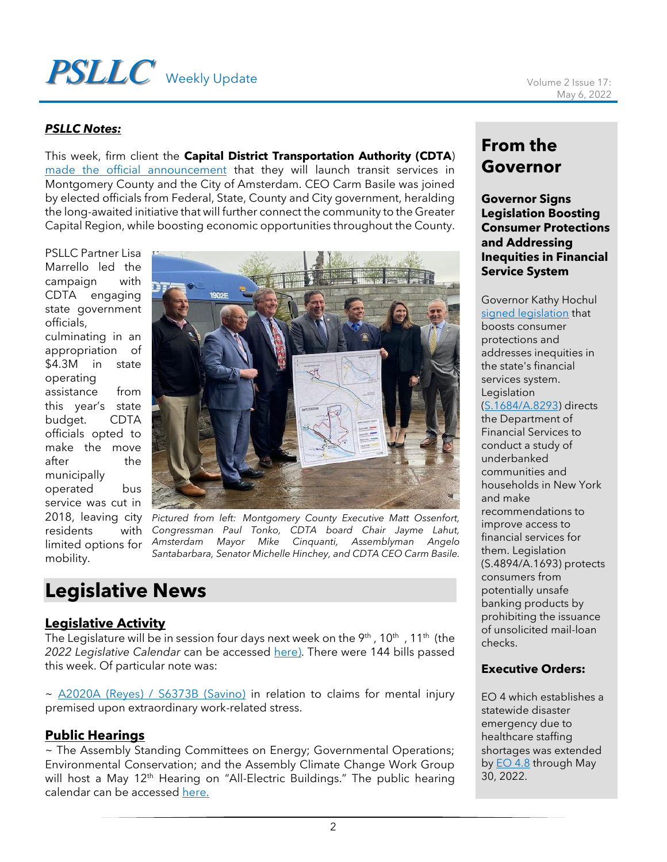# **PSLLC** Weekly Update Volume 2 Issue 17:

#### *PSLLC Notes:*

This week, firm client the **Capital District Transportation Authority (CDTA**) [made the official announcement](https://www.cdta.org/news/cdta-expands-service-network) that they will launch transit services in Montgomery County and the City of Amsterdam. CEO Carm Basile was joined by elected officials from Federal, State, County and City government, heralding the long-awaited initiative that will further connect the community to the Greater Capital Region, while boosting economic opportunities throughout the County.

PSLLC Partner Lisa Marrello led the campaign with CDTA engaging state government officials, culminating in an appropriation of \$4.3M in state operating assistance from this year's state budget. CDTA officials opted to make the move after the municipally operated bus service was cut in residents limited options for



2018, leaving city *Pictured from left: Montgomery County Executive Matt Ossenfort, Congressman Paul Tonko, CDTA board Chair Jayme Lahut, Amsterdam Mayor Mike Cinquanti, Assemblyman Angelo Santabarbara, Senator Michelle Hinchey, and CDTA CEO Carm Basile.*

# **Legislative News**

#### **Legislative Activity**

mobility.

The Legislature will be in session four days next week on the 9th , 10th  $\,$  , 11th (the  $\,$ 2022 Legislative Calendar can be accessed [here\)](https://www.nyassembly.gov/leg/docs/sessioncalendar_2022.pdf). There were 144 bills passed this week. Of particular note was:

~ [A2020A \(Reyes\) / S6373B \(Savino\)](https://www.nysenate.gov/legislation/bills/2021/s6373/amendment/original) in relation to claims for mental injury premised upon extraordinary work-related stress.

#### **Public Hearings**

~ The Assembly Standing Committees on Energy; Governmental Operations; Environmental Conservation; and the Assembly Climate Change Work Group will host a May 12<sup>th</sup> Hearing on "All-Electric Buildings." The public hearing calendar can be accessed [here.](https://www.nyassembly.gov/leg/?sh=hear)

## **From the Governor**

#### **Governor Signs Legislation Boosting Consumer Protections and Addressing Inequities in Financial Service System**

Governor Kathy Hochul [signed legislation](https://www.governor.ny.gov/news/governor-hochul-signs-legislation-boosting-consumer-protections-and-addressing-inequities) that boosts consumer protections and addresses inequities in the state's financial services system. **Legislation** [\(S.1684/A.8293\)](https://www.nysenate.gov/legislation/bills/2021/s1684) directs the Department of Financial Services to conduct a study of underbanked communities and households in New York and make recommendations to improve access to financial services for them. Legislation (S.4894/A.1693) protects consumers from potentially unsafe banking products by prohibiting the issuance of unsolicited mail-loan checks.

#### **Executive Orders:**

EO 4 which establishes a statewide disaster emergency due to healthcare staffing shortages was extended by **EO** 4.8 through May 30, 2022.